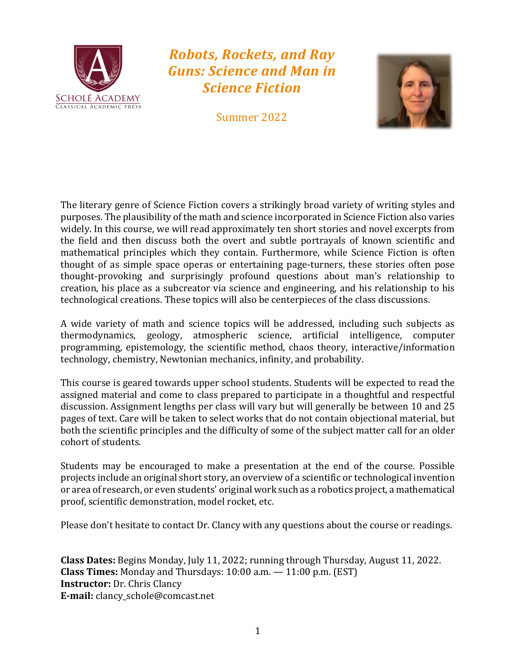

# *Robots, Rockets, and Ray Guns: Science and Man in Science Fiction*

Summer 2022



The literary genre of Science Fiction covers a strikingly broad variety of writing styles and purposes. The plausibility of the math and science incorporated in Science Fiction also varies widely. In this course, we will read approximately ten short stories and novel excerpts from the field and then discuss both the overt and subtle portrayals of known scientific and mathematical principles which they contain. Furthermore, while Science Fiction is often thought of as simple space operas or entertaining page-turners, these stories often pose thought-provoking and surprisingly profound questions about man's relationship to creation, his place as a subcreator via science and engineering, and his relationship to his technological creations. These topics will also be centerpieces of the class discussions.

A wide variety of math and science topics will be addressed, including such subjects as thermodynamics, geology, atmospheric science, artificial intelligence, computer programming, epistemology, the scientific method, chaos theory, interactive/information technology, chemistry, Newtonian mechanics, infinity, and probability.

This course is geared towards upper school students. Students will be expected to read the assigned material and come to class prepared to participate in a thoughtful and respectful discussion. Assignment lengths per class will vary but will generally be between 10 and 25 pages of text. Care will be taken to select works that do not contain objectional material, but both the scientific principles and the difficulty of some of the subject matter call for an older cohort of students.

Students may be encouraged to make a presentation at the end of the course. Possible projects include an original short story, an overview of a scientific or technological invention or area of research, or even students' original work such as a robotics project, a mathematical proof, scientific demonstration, model rocket, etc.

Please don't hesitate to contact Dr. Clancy with any questions about the course or readings.

**Class Dates:** Begins Monday, July 11, 2022; running through Thursday, August 11, 2022. **Class Times:** Monday and Thursdays: 10:00 a.m. — 11:00 p.m. (EST) **Instructor:** Dr. Chris Clancy **E-mail:** clancy\_schole@comcast.net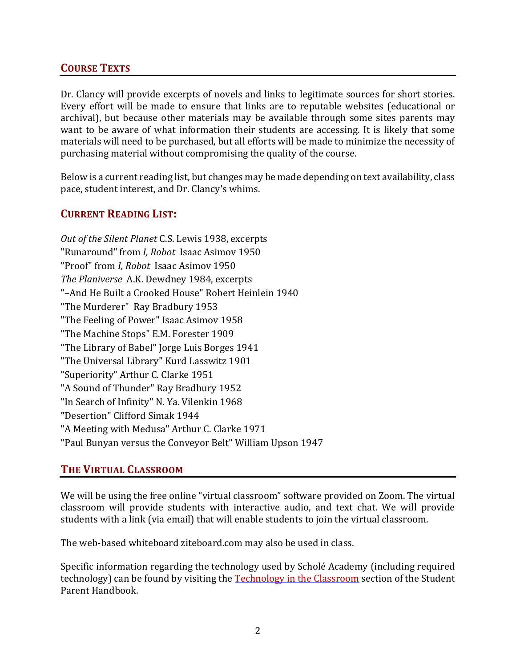## **COURSE TEXTS**

Dr. Clancy will provide excerpts of novels and links to legitimate sources for short stories. Every effort will be made to ensure that links are to reputable websites (educational or archival), but because other materials may be available through some sites parents may want to be aware of what information their students are accessing. It is likely that some materials will need to be purchased, but all efforts will be made to minimize the necessity of purchasing material without compromising the quality of the course.

Below is a current reading list, but changes may be made depending on text availability, class pace, student interest, and Dr. Clancy's whims.

#### **CURRENT READING LIST:**

*Out of the Silent Planet* C.S. Lewis 1938, excerpts "Runaround" from *I, Robot* Isaac Asimov 1950 "Proof" from *I, Robot* Isaac Asimov 1950 *The Planiverse* A.K. Dewdney 1984, excerpts "–And He Built a Crooked House" Robert Heinlein 1940 "The Murderer" Ray Bradbury 1953 "The Feeling of Power" Isaac Asimov 1958 "The Machine Stops" E.M. Forester 1909 "The Library of Babel" Jorge Luis Borges 1941 "The Universal Library" Kurd Lasswitz 1901 "Superiority" Arthur C. Clarke 1951 "A Sound of Thunder" Ray Bradbury 1952 "In Search of Infinity" N. Ya. Vilenkin 1968 **"**Desertion" Clifford Simak 1944 "A Meeting with Medusa" Arthur C. Clarke 1971 "Paul Bunyan versus the Conveyor Belt" William Upson 1947

## **THE VIRTUAL CLASSROOM**

We will be using the free online "virtual classroom" software provided on Zoom. The virtual classroom will provide students with interactive audio, and text chat. We will provide students with a link (via email) that will enable students to join the virtual classroom.

The web-based whiteboard ziteboard.com may also be used in class.

Specific information regarding the technology used by Scholé Academy (including required technology) can be found by visiting the Technology in the Classroom section of the Student Parent Handbook.